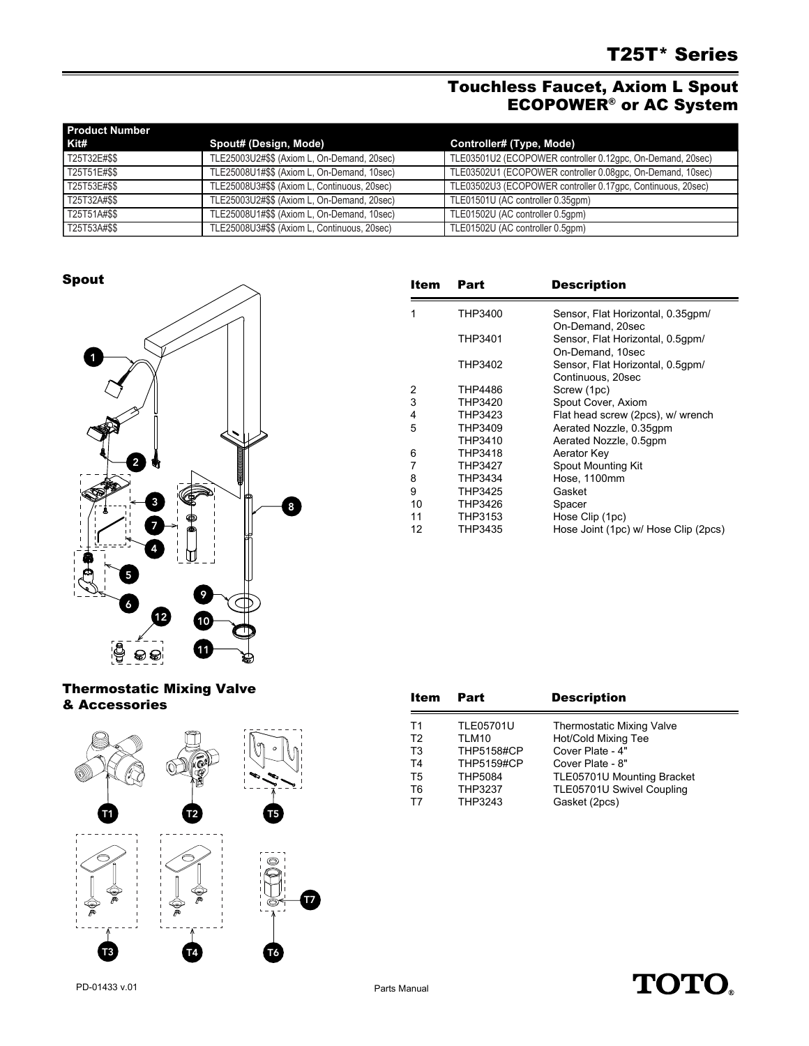## Touchless Faucet, Axiom L Spout ECOPOWER® or AC System

| <b>Product Number</b> |                                              |                                                             |
|-----------------------|----------------------------------------------|-------------------------------------------------------------|
| Kit#                  | Spout# (Design, Mode)                        | Controller# (Type, Mode)                                    |
| T25T32E#\$\$          | TLE25003U2#\$\$ (Axiom L, On-Demand, 20sec)  | TLE03501U2 (ECOPOWER controller 0.12qpc, On-Demand, 20sec)  |
| T25T51E#\$\$          | TLE25008U1#\$\$ (Axiom L, On-Demand, 10sec)  | TLE03502U1 (ECOPOWER controller 0.08gpc, On-Demand, 10sec)  |
| T25T53E#\$\$          | TLE25008U3#\$\$ (Axiom L, Continuous, 20sec) | TLE03502U3 (ECOPOWER controller 0.17gpc, Continuous, 20sec) |
| T25T32A#\$\$          | TLE25003U2#\$\$ (Axiom L, On-Demand, 20sec)  | TLE01501U (AC controller 0.35qpm)                           |
| T25T51A#\$\$          | TLE25008U1#\$\$ (Axiom L, On-Demand, 10sec)  | TLE01502U (AC controller 0.5qpm)                            |
| T25T53A#\$\$          | TLE25008U3#\$\$ (Axiom L, Continuous, 20sec) | TLE01502U (AC controller 0.5qpm)                            |

Spout



## Thermostatic Mixing Valve & Accessories



| Item | Part           | <b>Description</b>                                    |
|------|----------------|-------------------------------------------------------|
| 1    | THP3400        | Sensor, Flat Horizontal, 0.35qpm/<br>On-Demand, 20sec |
|      | THP3401        | Sensor, Flat Horizontal, 0.5gpm/<br>On-Demand, 10sec  |
|      | THP3402        | Sensor, Flat Horizontal, 0.5gpm/<br>Continuous, 20sec |
| 2    | <b>THP4486</b> | Screw (1pc)                                           |
| 3    | THP3420        | Spout Cover, Axiom                                    |
| 4    | THP3423        | Flat head screw (2pcs), w/ wrench                     |
| 5    | THP3409        | Aerated Nozzle, 0.35gpm                               |
|      | THP3410        | Aerated Nozzle, 0.5qpm                                |
| 6    | THP3418        | Aerator Key                                           |
| 7    | THP3427        | <b>Spout Mounting Kit</b>                             |
| 8    | THP3434        | Hose, 1100mm                                          |
| 9    | THP3425        | Gasket                                                |
| 10   | THP3426        | Spacer                                                |
| 11   | THP3153        | Hose Clip (1pc)                                       |
| 12   | THP3435        | Hose Joint (1pc) w/ Hose Clip (2pcs)                  |

| Item           | Part              | <b>Description</b>         |
|----------------|-------------------|----------------------------|
| T1             | <b>TLE05701U</b>  | Thermostatic Mixing Valve  |
| T <sub>2</sub> | TLM10             | Hot/Cold Mixing Tee        |
| T <sub>3</sub> | <b>THP5158#CP</b> | Cover Plate - 4"           |
| T <sub>4</sub> | <b>THP5159#CP</b> | Cover Plate - 8"           |
| T <sub>5</sub> | <b>THP5084</b>    | TLE05701U Mounting Bracket |
| T <sub>6</sub> | <b>THP3237</b>    | TLE05701U Swivel Coupling  |
| т7             | THP3243           | Gasket (2pcs)              |